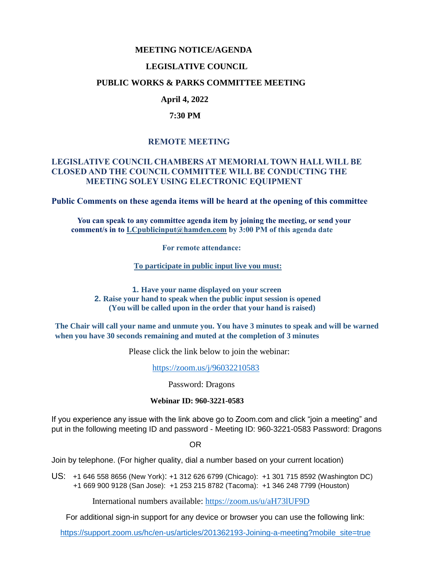### **MEETING NOTICE/AGENDA**

### **LEGISLATIVE COUNCIL**

### **PUBLIC WORKS & PARKS COMMITTEE MEETING**

# **April 4, 2022**

### **7:30 PM**

# **REMOTE MEETING**

### **LEGISLATIVE COUNCIL CHAMBERS AT MEMORIAL TOWN HALL WILL BE CLOSED AND THE COUNCIL COMMITTEE WILL BE CONDUCTING THE MEETING SOLEY USING ELECTRONIC EQUIPMENT**

**Public Comments on these agenda items will be heard at the opening of this committee** 

 **You can speak to any committee agenda item by joining the meeting, or send your comment/s in to [LCpublicinput@hamden.com](mailto:LCpublicinput@hamden.com) by 3:00 PM of this agenda date**

 **For remote attendance:**

**To participate in public input live you must:**

**1. Have your name displayed on your screen 2. Raise your hand to speak when the public input session is opened (You will be called upon in the order that your hand is raised)**

**The Chair will call your name and unmute you. You have 3 minutes to speak and will be warned when you have 30 seconds remaining and muted at the completion of 3 minutes**

Please click the link below to join the webinar:

<https://zoom.us/j/96032210583>

Password: Dragons

#### **Webinar ID: 960-3221-0583**

If you experience any issue with the link above go to Zoom.com and click "join a meeting" and put in the following meeting ID and password - Meeting ID: 960-3221-0583 Password: Dragons

OR

Join by telephone. (For higher quality, dial a number based on your current location)

US: [+1 646 558 8656 \(New York\)](tel:+16465588656): [+1 312 626 6799 \(Chicago\):](tel:+13126266799) [+1 301 715 8592 \(Washington DC\)](tel:+13017158592) +1 669 900 9128 (San Jose): [+1 253 215 8782 \(Tacoma\):](tel:+12532158782) [+1 346 248 7799 \(Houston\)](tel:+13462487799)

International numbers available:<https://zoom.us/u/aH73lUF9D>

For additional sign-in support for any device or browser you can use the following link:

[https://support.zoom.us/hc/en-us/articles/201362193-Joining-a-meeting?mobile\\_site=true](https://support.zoom.us/hc/en-us/articles/201362193-Joining-a-meeting?mobile_site=true)